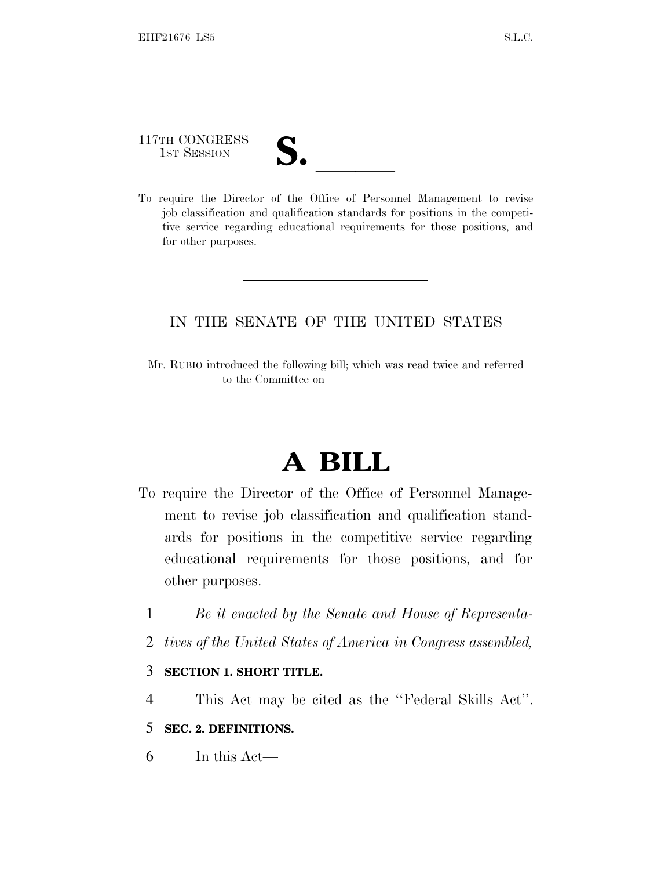117TH CONGRESS

117TH CONGRESS<br>
1ST SESSION<br>
To require the Director of the Office of Personnel Management to revise job classification and qualification standards for positions in the competitive service regarding educational requirements for those positions, and for other purposes.

### IN THE SENATE OF THE UNITED STATES

Mr. RUBIO introduced the following bill; which was read twice and referred to the Committee on

# **A BILL**

- To require the Director of the Office of Personnel Management to revise job classification and qualification standards for positions in the competitive service regarding educational requirements for those positions, and for other purposes.
	- 1 *Be it enacted by the Senate and House of Representa-*
	- 2 *tives of the United States of America in Congress assembled,*

#### 3 **SECTION 1. SHORT TITLE.**

4 This Act may be cited as the ''Federal Skills Act''.

#### 5 **SEC. 2. DEFINITIONS.**

6 In this Act—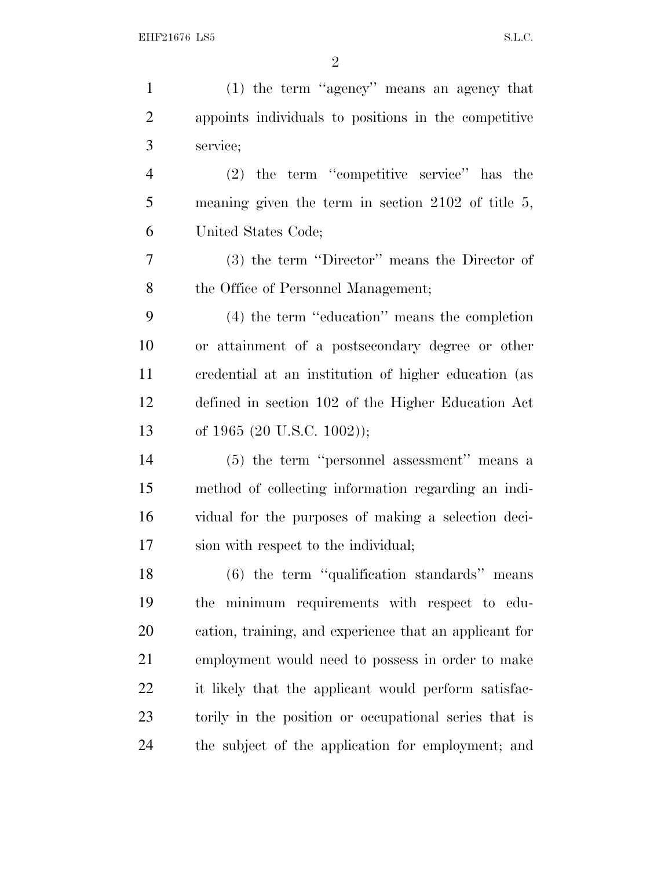| $\mathbf{1}$   | (1) the term "agency" means an agency that             |
|----------------|--------------------------------------------------------|
| $\overline{2}$ | appoints individuals to positions in the competitive   |
| 3              | service;                                               |
| $\overline{4}$ | $(2)$ the term "competitive service" has the           |
| 5              | meaning given the term in section $2102$ of title 5,   |
| 6              | United States Code;                                    |
| 7              | (3) the term "Director" means the Director of          |
| 8              | the Office of Personnel Management;                    |
| 9              | $(4)$ the term "education" means the completion        |
| 10             | or attainment of a postsecondary degree or other       |
| 11             | credential at an institution of higher education (as   |
| 12             | defined in section 102 of the Higher Education Act     |
| 13             | of 1965 (20 U.S.C. 1002));                             |
| 14             | (5) the term "personnel assessment" means a            |
| 15             | method of collecting information regarding an indi-    |
| 16             | vidual for the purposes of making a selection deci-    |
| 17             | sion with respect to the individual;                   |
| 18             | $(6)$ the term "qualification standards" means         |
| 19             | the minimum requirements with respect to edu-          |
| 20             | cation, training, and experience that an applicant for |
| 21             | employment would need to possess in order to make      |
| 22             | it likely that the applicant would perform satisfac-   |
| 23             | torily in the position or occupational series that is  |
| 24             | the subject of the application for employment; and     |
|                |                                                        |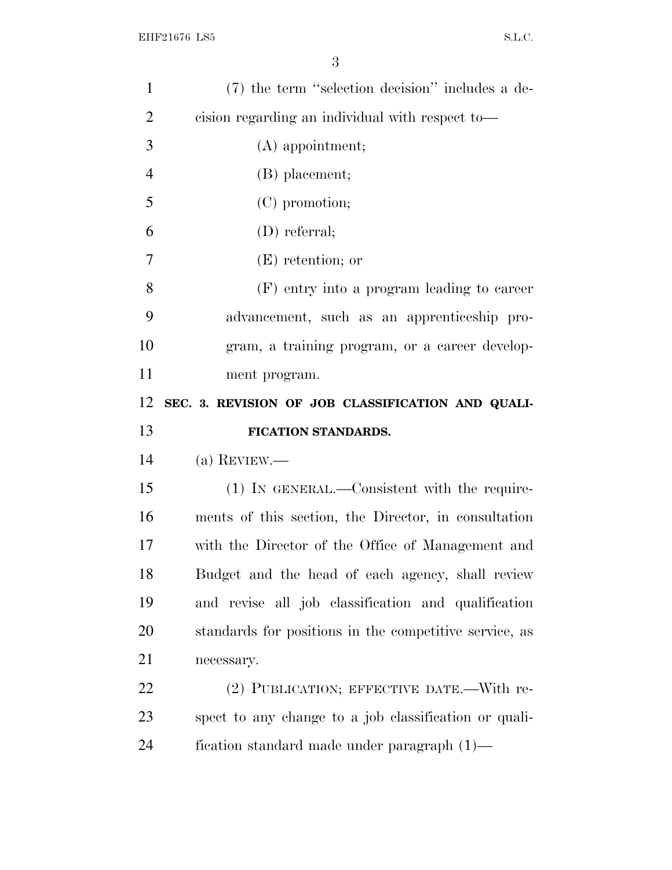| $\mathbf{1}$   | (7) the term "selection decision" includes a de-       |
|----------------|--------------------------------------------------------|
| $\overline{2}$ | cision regarding an individual with respect to-        |
| 3              | $(A)$ appointment;                                     |
| $\overline{4}$ | (B) placement;                                         |
| 5              | (C) promotion;                                         |
| 6              | $(D)$ referral;                                        |
| 7              | $(E)$ retention; or                                    |
| 8              | (F) entry into a program leading to career             |
| 9              | advancement, such as an apprenticeship pro-            |
| 10             | gram, a training program, or a career develop-         |
| 11             | ment program.                                          |
| 12             | SEC. 3. REVISION OF JOB CLASSIFICATION AND QUALI-      |
|                |                                                        |
| 13             | FICATION STANDARDS.                                    |
| 14             | (a) REVIEW.—                                           |
| 15             | $(1)$ In GENERAL.—Consistent with the require-         |
| 16             | ments of this section, the Director, in consultation   |
| 17             | with the Director of the Office of Management and      |
| 18             | Budget and the head of each agency, shall review       |
| 19             | and revise all job classification and qualification    |
| 20             | standards for positions in the competitive service, as |
| 21             | necessary.                                             |
| 22             | (2) PUBLICATION; EFFECTIVE DATE.—With re-              |
| 23             | spect to any change to a job classification or quali-  |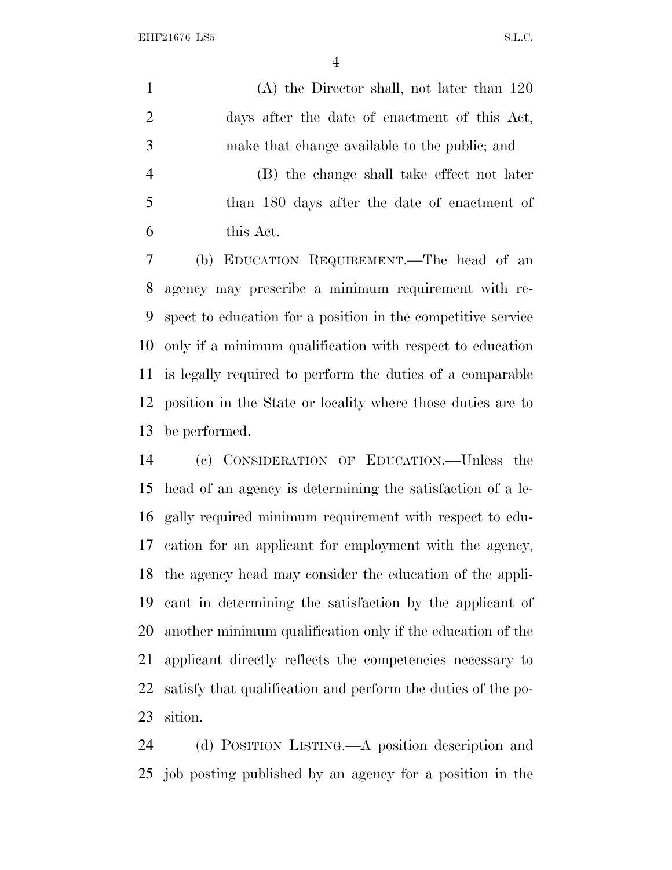EHF21676 LS5 S.L.C.

 (A) the Director shall, not later than 120 days after the date of enactment of this Act, make that change available to the public; and (B) the change shall take effect not later

 than 180 days after the date of enactment of this Act.

 (b) EDUCATION REQUIREMENT.—The head of an agency may prescribe a minimum requirement with re- spect to education for a position in the competitive service only if a minimum qualification with respect to education is legally required to perform the duties of a comparable position in the State or locality where those duties are to be performed.

 (c) CONSIDERATION OF EDUCATION.—Unless the head of an agency is determining the satisfaction of a le- gally required minimum requirement with respect to edu- cation for an applicant for employment with the agency, the agency head may consider the education of the appli- cant in determining the satisfaction by the applicant of another minimum qualification only if the education of the applicant directly reflects the competencies necessary to satisfy that qualification and perform the duties of the po-sition.

 (d) POSITION LISTING.—A position description and job posting published by an agency for a position in the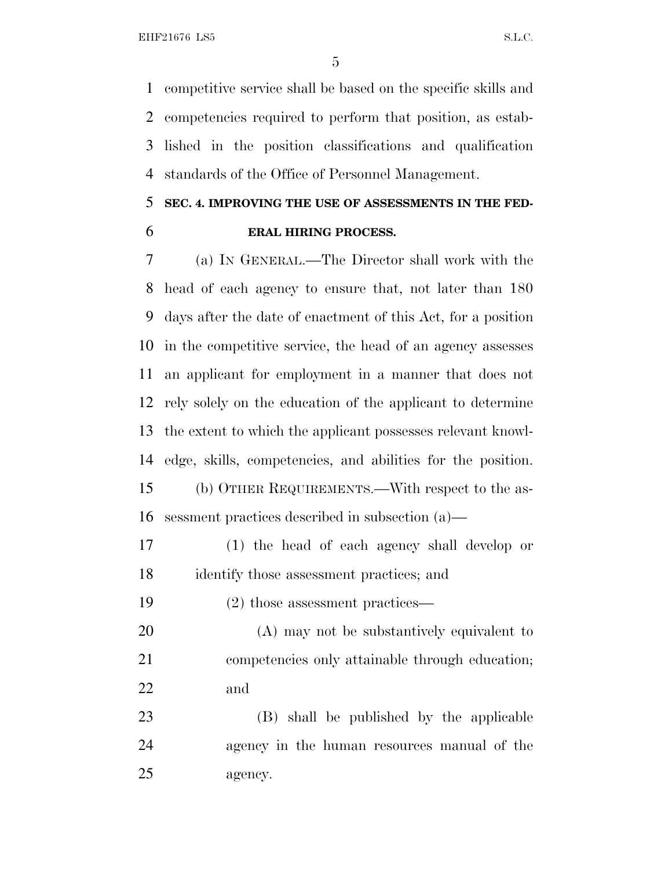competitive service shall be based on the specific skills and competencies required to perform that position, as estab- lished in the position classifications and qualification standards of the Office of Personnel Management.

## **SEC. 4. IMPROVING THE USE OF ASSESSMENTS IN THE FED-ERAL HIRING PROCESS.**

 (a) I<sup>N</sup> GENERAL.—The Director shall work with the head of each agency to ensure that, not later than 180 days after the date of enactment of this Act, for a position in the competitive service, the head of an agency assesses an applicant for employment in a manner that does not rely solely on the education of the applicant to determine the extent to which the applicant possesses relevant knowl- edge, skills, competencies, and abilities for the position. (b) OTHER REQUIREMENTS.—With respect to the as-sessment practices described in subsection (a)—

 (1) the head of each agency shall develop or identify those assessment practices; and

(2) those assessment practices—

 (A) may not be substantively equivalent to competencies only attainable through education; and

 (B) shall be published by the applicable agency in the human resources manual of the agency.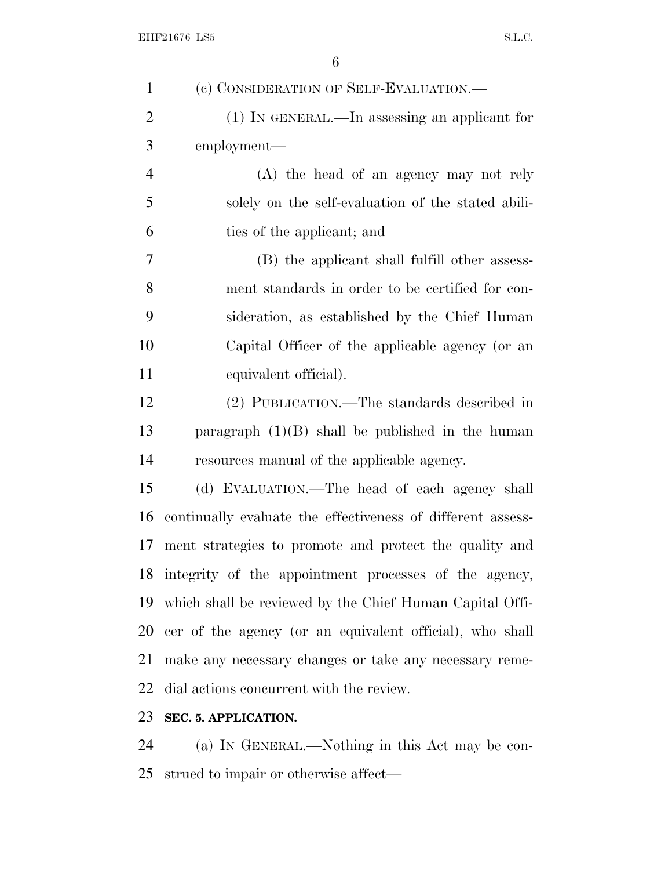| $\mathbf{1}$   | (c) CONSIDERATION OF SELF-EVALUATION.—                      |
|----------------|-------------------------------------------------------------|
| $\overline{2}$ | $(1)$ In GENERAL.—In assessing an applicant for             |
| 3              | employment—                                                 |
| $\overline{4}$ | (A) the head of an agency may not rely                      |
| 5              | solely on the self-evaluation of the stated abili-          |
| 6              | ties of the applicant; and                                  |
| 7              | (B) the applicant shall fulfill other assess-               |
| 8              | ment standards in order to be certified for con-            |
| 9              | sideration, as established by the Chief Human               |
| 10             | Capital Officer of the applicable agency (or an             |
| 11             | equivalent official).                                       |
| 12             | (2) PUBLICATION.—The standards described in                 |
| 13             | paragraph $(1)(B)$ shall be published in the human          |
| 14             | resources manual of the applicable agency.                  |
| 15             | (d) EVALUATION.—The head of each agency shall               |
| 16             | continually evaluate the effectiveness of different assess- |
| 17             | ment strategies to promote and protect the quality and      |
|                | 18 integrity of the appointment processes of the agency,    |
|                | 19 which shall be reviewed by the Chief Human Capital Offi- |
|                | 20 cer of the agency (or an equivalent official), who shall |
| 21             | make any necessary changes or take any necessary reme-      |
| 22             | dial actions concurrent with the review.                    |
| 23             | SEC. 5. APPLICATION.                                        |
|                |                                                             |

 (a) I<sup>N</sup> GENERAL.—Nothing in this Act may be con-strued to impair or otherwise affect—